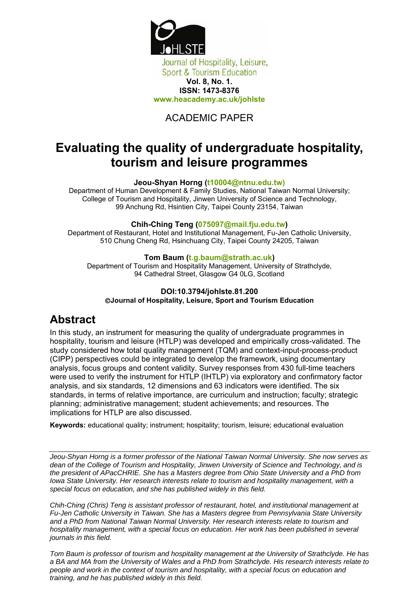

## ACADEMIC PAPER

# **Evaluating the quality of undergraduate hospitality, tourism and leisure programmes**

#### **Jeou-Shyan Horng (t10004@ntnu.edu.tw)**

Department of Human Development & Family Studies, National Taiwan Normal University; College of Tourism and Hospitality, Jinwen University of Science and Technology, 99 Anchung Rd, Hsintien City, Taipei County 23154, Taiwan

#### **Chih-Ching Teng (075097@mail.fju.edu.tw)**

Department of Restaurant, Hotel and Institutional Management, Fu-Jen Catholic University, 510 Chung Cheng Rd, Hsinchuang City, Taipei County 24205, Taiwan

#### **Tom Baum (t.g.baum@strath.ac.uk)**

Department of Tourism and Hospitality Management, University of Strathclyde, 94 Cathedral Street, Glasgow G4 0LG, Scotland

#### **DOI:10.3794/johlste.81.200**  ©**Journal of Hospitality, Leisure, Sport and Tourism Education**

# **Abstract**

In this study, an instrument for measuring the quality of undergraduate programmes in hospitality, tourism and leisure (HTLP) was developed and empirically cross-validated. The study considered how total quality management (TQM) and context-input-process-product (CIPP) perspectives could be integrated to develop the framework, using documentary analysis, focus groups and content validity. Survey responses from 430 full-time teachers were used to verify the instrument for HTLP (IHTLP) via exploratory and confirmatory factor analysis, and six standards, 12 dimensions and 63 indicators were identified. The six standards, in terms of relative importance, are curriculum and instruction; faculty; strategic planning; administrative management; student achievements; and resources. The implications for HTLP are also discussed.

**Keywords:** educational quality; instrument; hospitality; tourism, leisure; educational evaluation

*Jeou-Shyan Horng is a former professor of the National Taiwan Normal University. She now serves as dean of the College of Tourism and Hospitality, Jinwen University of Science and Technology, and is the president of APacCHRIE. She has a Masters degree from Ohio State University and a PhD from Iowa State University. Her research interests relate to tourism and hospitality management, with a special focus on education, and she has published widely in this field.* 

*Chih-Ching (Chris) Teng is assistant professor of restaurant, hotel, and institutional management at Fu-Jen Catholic University in Taiwan. She has a Masters degree from Pennsylvania State University and a PhD from National Taiwan Normal University. Her research interests relate to tourism and*  hospitality management, with a special focus on education. Her work has been published in several *journals in this field.* 

*Tom Baum is professor of tourism and hospitality management at the University of Strathclyde. He has a BA and MA from the University of Wales and a PhD from Strathclyde. His research interests relate to people and work in the context of tourism and hospitality, with a special focus on education and training, and he has published widely in this field.*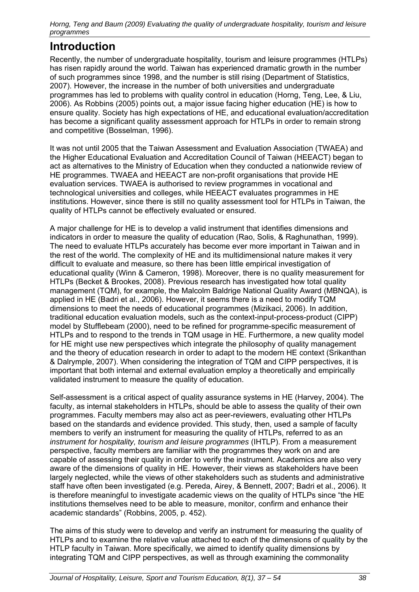## **Introduction**

Recently, the number of undergraduate hospitality, tourism and leisure programmes (HTLPs) has risen rapidly around the world. Taiwan has experienced dramatic growth in the number of such programmes since 1998, and the number is still rising (Department of Statistics, 2007). However, the increase in the number of both universities and undergraduate programmes has led to problems with quality control in education (Horng, Teng, Lee, & Liu, 2006). As Robbins (2005) points out, a major issue facing higher education (HE) is how to ensure quality. Society has high expectations of HE, and educational evaluation/accreditation has become a significant quality assessment approach for HTLPs in order to remain strong and competitive (Bosselman, 1996).

It was not until 2005 that the Taiwan Assessment and Evaluation Association (TWAEA) and the Higher Educational Evaluation and Accreditation Council of Taiwan (HEEACT) began to act as alternatives to the Ministry of Education when they conducted a nationwide review of HE programmes. TWAEA and HEEACT are non-profit organisations that provide HE evaluation services. TWAEA is authorised to review programmes in vocational and technological universities and colleges, while HEEACT evaluates programmes in HE institutions. However, since there is still no quality assessment tool for HTLPs in Taiwan, the quality of HTLPs cannot be effectively evaluated or ensured.

A major challenge for HE is to develop a valid instrument that identifies dimensions and indicators in order to measure the quality of education (Rao, Solis, & Raghunathan, 1999). The need to evaluate HTLPs accurately has become ever more important in Taiwan and in the rest of the world. The complexity of HE and its multidimensional nature makes it very difficult to evaluate and measure, so there has been little empirical investigation of educational quality (Winn & Cameron, 1998). Moreover, there is no quality measurement for HTLPs (Becket & Brookes, 2008). Previous research has investigated how total quality management (TQM), for example, the Malcolm Baldrige National Quality Award (MBNQA), is applied in HE (Badri et al., 2006). However, it seems there is a need to modify TQM dimensions to meet the needs of educational programmes (Mizikaci, 2006). In addition, traditional education evaluation models, such as the context-input-process-product (CIPP) model by Stufflebeam (2000), need to be refined for programme-specific measurement of HTLPs and to respond to the trends in TQM usage in HE. Furthermore, a new quality model for HE might use new perspectives which integrate the philosophy of quality management and the theory of education research in order to adapt to the modern HE context (Srikanthan & Dalrymple, 2007). When considering the integration of TQM and CIPP perspectives, it is important that both internal and external evaluation employ a theoretically and empirically validated instrument to measure the quality of education.

Self-assessment is a critical aspect of quality assurance systems in HE (Harvey, 2004). The faculty, as internal stakeholders in HTLPs, should be able to assess the quality of their own programmes. Faculty members may also act as peer-reviewers, evaluating other HTLPs based on the standards and evidence provided. This study, then, used a sample of faculty members to verify an instrument for measuring the quality of HTLPs, referred to as an *instrument for hospitality, tourism and leisure programmes* (IHTLP). From a measurement perspective, faculty members are familiar with the programmes they work on and are capable of assessing their quality in order to verify the instrument. Academics are also very aware of the dimensions of quality in HE. However, their views as stakeholders have been largely neglected, while the views of other stakeholders such as students and administrative staff have often been investigated (e.g. Pereda, Airey, & Bennett, 2007; Badri et al., 2006). It is therefore meaningful to investigate academic views on the quality of HTLPs since "the HE institutions themselves need to be able to measure, monitor, confirm and enhance their academic standards" (Robbins, 2005, p. 452).

The aims of this study were to develop and verify an instrument for measuring the quality of HTLPs and to examine the relative value attached to each of the dimensions of quality by the HTLP faculty in Taiwan. More specifically, we aimed to identify quality dimensions by integrating TQM and CIPP perspectives, as well as through examining the commonality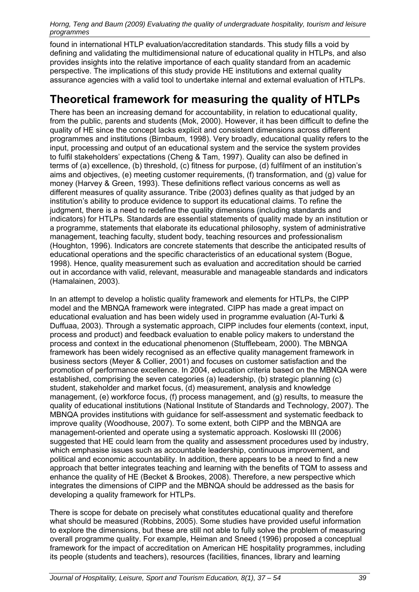found in international HTLP evaluation/accreditation standards. This study fills a void by defining and validating the multidimensional nature of educational quality in HTLPs, and also provides insights into the relative importance of each quality standard from an academic perspective. The implications of this study provide HE institutions and external quality assurance agencies with a valid tool to undertake internal and external evaluation of HTLPs.

## **Theoretical framework for measuring the quality of HTLPs**

There has been an increasing demand for accountability, in relation to educational quality, from the public, parents and students (Mok, 2000). However, it has been difficult to define the quality of HE since the concept lacks explicit and consistent dimensions across different programmes and institutions (Birnbaum, 1998). Very broadly, educational quality refers to the input, processing and output of an educational system and the service the system provides to fulfil stakeholders' expectations (Cheng & Tam, 1997). Quality can also be defined in terms of (a) excellence, (b) threshold, (c) fitness for purpose, (d) fulfilment of an institution's aims and objectives, (e) meeting customer requirements, (f) transformation, and (g) value for money (Harvey & Green, 1993). These definitions reflect various concerns as well as different measures of quality assurance. Tribe (2003) defines quality as that judged by an institution's ability to produce evidence to support its educational claims. To refine the judgment, there is a need to redefine the quality dimensions (including standards and indicators) for HTLPs. Standards are essential statements of quality made by an institution or a programme, statements that elaborate its educational philosophy, system of administrative management, teaching faculty, student body, teaching resources and professionalism (Houghton, 1996). Indicators are concrete statements that describe the anticipated results of educational operations and the specific characteristics of an educational system (Bogue, 1998). Hence, quality measurement such as evaluation and accreditation should be carried out in accordance with valid, relevant, measurable and manageable standards and indicators (Hamalainen, 2003).

In an attempt to develop a holistic quality framework and elements for HTLPs, the CIPP model and the MBNQA framework were integrated. CIPP has made a great impact on educational evaluation and has been widely used in programme evaluation (Al-Turki & Duffuaa, 2003). Through a systematic approach, CIPP includes four elements (context, input, process and product) and feedback evaluation to enable policy makers to understand the process and context in the educational phenomenon (Stufflebeam, 2000). The MBNQA framework has been widely recognised as an effective quality management framework in business sectors (Meyer & Collier, 2001) and focuses on customer satisfaction and the promotion of performance excellence. In 2004, education criteria based on the MBNQA were established, comprising the seven categories (a) leadership, (b) strategic planning (c) student, stakeholder and market focus, (d) measurement, analysis and knowledge management, (e) workforce focus, (f) process management, and (g) results, to measure the quality of educational institutions (National Institute of Standards and Technology, 2007). The MBNQA provides institutions with guidance for self-assessment and systematic feedback to improve quality (Woodhouse, 2007). To some extent, both CIPP and the MBNQA are management-oriented and operate using a systematic approach. Koslowski III (2006) suggested that HE could learn from the quality and assessment procedures used by industry, which emphasise issues such as accountable leadership, continuous improvement, and political and economic accountability. In addition, there appears to be a need to find a new approach that better integrates teaching and learning with the benefits of TQM to assess and enhance the quality of HE (Becket & Brookes, 2008). Therefore, a new perspective which integrates the dimensions of CIPP and the MBNQA should be addressed as the basis for developing a quality framework for HTLPs.

There is scope for debate on precisely what constitutes educational quality and therefore what should be measured (Robbins, 2005). Some studies have provided useful information to explore the dimensions, but these are still not able to fully solve the problem of measuring overall programme quality. For example, Heiman and Sneed (1996) proposed a conceptual framework for the impact of accreditation on American HE hospitality programmes, including its people (students and teachers), resources (facilities, finances, library and learning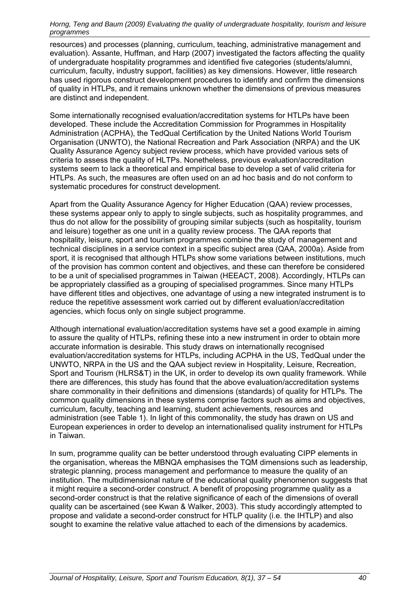resources) and processes (planning, curriculum, teaching, administrative management and evaluation). Assante, Huffman, and Harp (2007) investigated the factors affecting the quality of undergraduate hospitality programmes and identified five categories (students/alumni, curriculum, faculty, industry support, facilities) as key dimensions. However, little research has used rigorous construct development procedures to identify and confirm the dimensions of quality in HTLPs, and it remains unknown whether the dimensions of previous measures are distinct and independent.

Some internationally recognised evaluation/accreditation systems for HTLPs have been developed. These include the Accreditation Commission for Programmes in Hospitality Administration (ACPHA), the TedQual Certification by the United Nations World Tourism Organisation (UNWTO), the National Recreation and Park Association (NRPA) and the UK Quality Assurance Agency subject review process, which have provided various sets of criteria to assess the quality of HLTPs. Nonetheless, previous evaluation/accreditation systems seem to lack a theoretical and empirical base to develop a set of valid criteria for HTLPs. As such, the measures are often used on an ad hoc basis and do not conform to systematic procedures for construct development.

Apart from the Quality Assurance Agency for Higher Education (QAA) review processes, these systems appear only to apply to single subjects, such as hospitality programmes, and thus do not allow for the possibility of grouping similar subjects (such as hospitality, tourism and leisure) together as one unit in a quality review process. The QAA reports that hospitality, leisure, sport and tourism programmes combine the study of management and technical disciplines in a service context in a specific subject area (QAA, 2000a). Aside from sport, it is recognised that although HTLPs show some variations between institutions, much of the provision has common content and objectives, and these can therefore be considered to be a unit of specialised programmes in Taiwan (HEEACT, 2008). Accordingly, HTLPs can be appropriately classified as a grouping of specialised programmes. Since many HTLPs have different titles and objectives, one advantage of using a new integrated instrument is to reduce the repetitive assessment work carried out by different evaluation/accreditation agencies, which focus only on single subject programme.

Although international evaluation/accreditation systems have set a good example in aiming to assure the quality of HTLPs, refining these into a new instrument in order to obtain more accurate information is desirable. This study draws on internationally recognised evaluation/accreditation systems for HTLPs, including ACPHA in the US, TedQual under the UNWTO, NRPA in the US and the QAA subject review in Hospitality, Leisure, Recreation, Sport and Tourism (HLRS&T) in the UK, in order to develop its own quality framework. While there are differences, this study has found that the above evaluation/accreditation systems share commonality in their definitions and dimensions (standards) of quality for HTLPs. The common quality dimensions in these systems comprise factors such as aims and objectives, curriculum, faculty, teaching and learning, student achievements, resources and administration (see Table 1). In light of this commonality, the study has drawn on US and European experiences in order to develop an internationalised quality instrument for HTLPs in Taiwan.

In sum, programme quality can be better understood through evaluating CIPP elements in the organisation, whereas the MBNQA emphasises the TQM dimensions such as leadership, strategic planning, process management and performance to measure the quality of an institution. The multidimensional nature of the educational quality phenomenon suggests that it might require a second-order construct. A benefit of proposing programme quality as a second-order construct is that the relative significance of each of the dimensions of overall quality can be ascertained (see Kwan & Walker, 2003). This study accordingly attempted to propose and validate a second-order construct for HTLP quality (i.e. the IHTLP) and also sought to examine the relative value attached to each of the dimensions by academics.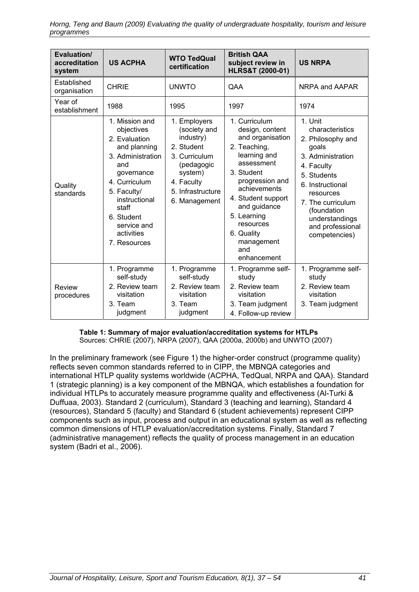| Evaluation/<br>accreditation<br>system | <b>US ACPHA</b>                                                                                                                                                                                                              | <b>WTO TedQual</b><br>certification                                                                                                                   | <b>British QAA</b><br>subject review in<br><b>HLRS&amp;T (2000-01)</b>                                                                                                                                                                                                  | <b>US NRPA</b>                                                                                                                                                                                                                         |
|----------------------------------------|------------------------------------------------------------------------------------------------------------------------------------------------------------------------------------------------------------------------------|-------------------------------------------------------------------------------------------------------------------------------------------------------|-------------------------------------------------------------------------------------------------------------------------------------------------------------------------------------------------------------------------------------------------------------------------|----------------------------------------------------------------------------------------------------------------------------------------------------------------------------------------------------------------------------------------|
| Established<br>organisation            | <b>CHRIE</b>                                                                                                                                                                                                                 | <b>UNWTO</b>                                                                                                                                          | QAA                                                                                                                                                                                                                                                                     | NRPA and AAPAR                                                                                                                                                                                                                         |
| Year of<br>establishment               | 1988                                                                                                                                                                                                                         | 1995                                                                                                                                                  | 1997                                                                                                                                                                                                                                                                    | 1974                                                                                                                                                                                                                                   |
| Quality<br>standards                   | 1. Mission and<br>objectives<br>2. Evaluation<br>and planning<br>3. Administration<br>and<br>governance<br>4. Curriculum<br>5. Faculty/<br>instructional<br>staff<br>6. Student<br>service and<br>activities<br>7. Resources | 1. Employers<br>(society and<br>industry)<br>2. Student<br>3. Curriculum<br>(pedagogic<br>system)<br>4. Faculty<br>5. Infrastructure<br>6. Management | 1. Curriculum<br>design, content<br>and organisation<br>2. Teaching,<br>learning and<br>assessment<br>3. Student<br>progression and<br>achievements<br>4. Student support<br>and guidance<br>5. Learning<br>resources<br>6. Quality<br>management<br>and<br>enhancement | 1. Unit<br>characteristics<br>2. Philosophy and<br>goals<br>3. Administration<br>4. Faculty<br>5. Students<br>6. Instructional<br>resources<br>7. The curriculum<br>(foundation<br>understandings<br>and professional<br>competencies) |
| Review<br>procedures                   | 1. Programme<br>self-study<br>2. Review team<br>visitation<br>3. Team<br>judgment                                                                                                                                            | 1. Programme<br>self-study<br>2. Review team<br>visitation<br>3. Team<br>judgment                                                                     | 1. Programme self-<br>study<br>2. Review team<br>visitation<br>3. Team judgment<br>4. Follow-up review                                                                                                                                                                  | 1. Programme self-<br>study<br>2. Review team<br>visitation<br>3. Team judgment                                                                                                                                                        |

**Table 1: Summary of major evaluation/accreditation systems for HTLPs**  Sources: CHRIE (2007), NRPA (2007), QAA (2000a, 2000b) and UNWTO (2007)

In the preliminary framework (see Figure 1) the higher-order construct (programme quality) reflects seven common standards referred to in CIPP, the MBNQA categories and international HTLP quality systems worldwide (ACPHA, TedQual, NRPA and QAA). Standard 1 (strategic planning) is a key component of the MBNQA, which establishes a foundation for individual HTLPs to accurately measure programme quality and effectiveness (Al-Turki & Duffuaa, 2003). Standard 2 (curriculum), Standard 3 (teaching and learning), Standard 4 (resources), Standard 5 (faculty) and Standard 6 (student achievements) represent CIPP components such as input, process and output in an educational system as well as reflecting common dimensions of HTLP evaluation/accreditation systems. Finally, Standard 7 (administrative management) reflects the quality of process management in an education system (Badri et al., 2006).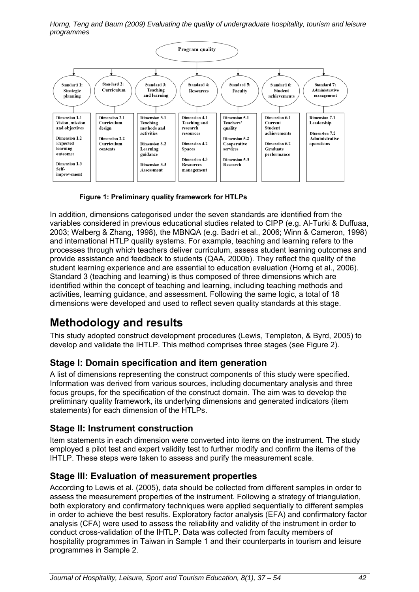

**Figure 1: Preliminary quality framework for HTLPs** 

In addition, dimensions categorised under the seven standards are identified from the variables considered in previous educational studies related to CIPP (e.g. Al-Turki & Duffuaa, 2003; Walberg & Zhang, 1998), the MBNQA (e.g. Badri et al., 2006; Winn & Cameron, 1998) and international HTLP quality systems. For example, teaching and learning refers to the processes through which teachers deliver curriculum, assess student learning outcomes and provide assistance and feedback to students (QAA, 2000b). They reflect the quality of the student learning experience and are essential to education evaluation (Horng et al., 2006). Standard 3 (teaching and learning) is thus composed of three dimensions which are identified within the concept of teaching and learning, including teaching methods and activities, learning guidance, and assessment. Following the same logic, a total of 18 dimensions were developed and used to reflect seven quality standards at this stage.

# **Methodology and results**

This study adopted construct development procedures (Lewis, Templeton, & Byrd, 2005) to develop and validate the IHTLP. This method comprises three stages (see Figure 2).

## **Stage I: Domain specification and item generation**

A list of dimensions representing the construct components of this study were specified. Information was derived from various sources, including documentary analysis and three focus groups, for the specification of the construct domain. The aim was to develop the preliminary quality framework, its underlying dimensions and generated indicators (item statements) for each dimension of the HTLPs.

## **Stage II: Instrument construction**

Item statements in each dimension were converted into items on the instrument. The study employed a pilot test and expert validity test to further modify and confirm the items of the IHTLP. These steps were taken to assess and purify the measurement scale.

### **Stage III: Evaluation of measurement properties**

According to Lewis et al. (2005), data should be collected from different samples in order to assess the measurement properties of the instrument. Following a strategy of triangulation, both exploratory and confirmatory techniques were applied sequentially to different samples in order to achieve the best results. Exploratory factor analysis (EFA) and confirmatory factor analysis (CFA) were used to assess the reliability and validity of the instrument in order to conduct cross-validation of the IHTLP. Data was collected from faculty members of hospitality programmes in Taiwan in Sample 1 and their counterparts in tourism and leisure programmes in Sample 2.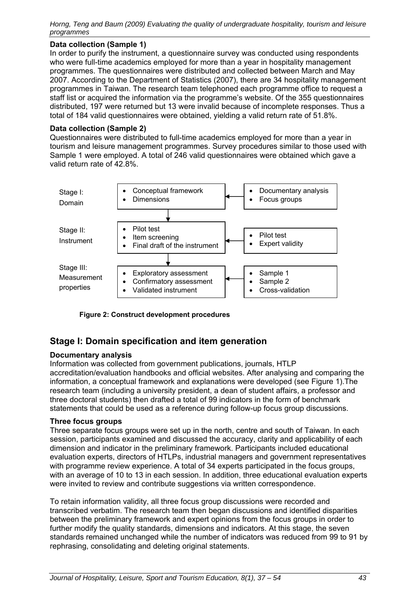#### **Data collection (Sample 1)**

In order to purify the instrument, a questionnaire survey was conducted using respondents who were full-time academics employed for more than a year in hospitality management programmes. The questionnaires were distributed and collected between March and May 2007. According to the Department of Statistics (2007), there are 34 hospitality management programmes in Taiwan. The research team telephoned each programme office to request a staff list or acquired the information via the programme's website. Of the 355 questionnaires distributed, 197 were returned but 13 were invalid because of incomplete responses. Thus a total of 184 valid questionnaires were obtained, yielding a valid return rate of 51.8%.

#### **Data collection (Sample 2)**

Questionnaires were distributed to full-time academics employed for more than a year in tourism and leisure management programmes. Survey procedures similar to those used with Sample 1 were employed. A total of 246 valid questionnaires were obtained which gave a valid return rate of 42.8%.



**Figure 2: Construct development procedures** 

### **Stage I: Domain specification and item generation**

#### **Documentary analysis**

Information was collected from government publications, journals, HTLP accreditation/evaluation handbooks and official websites. After analysing and comparing the information, a conceptual framework and explanations were developed (see Figure 1).The research team (including a university president, a dean of student affairs, a professor and three doctoral students) then drafted a total of 99 indicators in the form of benchmark statements that could be used as a reference during follow-up focus group discussions.

#### **Three focus groups**

Three separate focus groups were set up in the north, centre and south of Taiwan. In each session, participants examined and discussed the accuracy, clarity and applicability of each dimension and indicator in the preliminary framework. Participants included educational evaluation experts, directors of HTLPs, industrial managers and government representatives with programme review experience. A total of 34 experts participated in the focus groups, with an average of 10 to 13 in each session. In addition, three educational evaluation experts were invited to review and contribute suggestions via written correspondence.

To retain information validity, all three focus group discussions were recorded and transcribed verbatim. The research team then began discussions and identified disparities between the preliminary framework and expert opinions from the focus groups in order to further modify the quality standards, dimensions and indicators. At this stage, the seven standards remained unchanged while the number of indicators was reduced from 99 to 91 by rephrasing, consolidating and deleting original statements.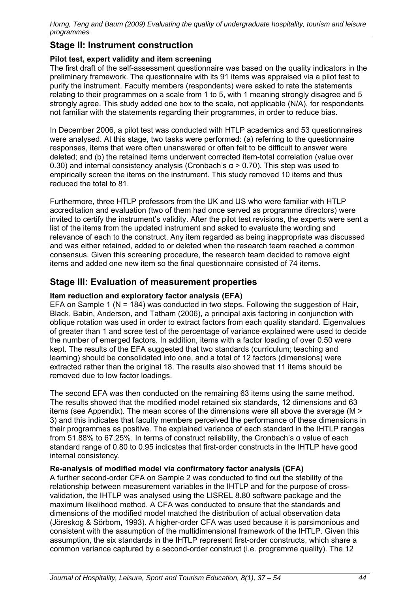### **Stage II: Instrument construction**

#### **Pilot test, expert validity and item screening**

The first draft of the self-assessment questionnaire was based on the quality indicators in the preliminary framework. The questionnaire with its 91 items was appraised via a pilot test to purify the instrument. Faculty members (respondents) were asked to rate the statements relating to their programmes on a scale from 1 to 5, with 1 meaning strongly disagree and 5 strongly agree. This study added one box to the scale, not applicable (N/A), for respondents not familiar with the statements regarding their programmes, in order to reduce bias.

In December 2006, a pilot test was conducted with HTLP academics and 53 questionnaires were analysed. At this stage, two tasks were performed: (a) referring to the questionnaire responses, items that were often unanswered or often felt to be difficult to answer were deleted; and (b) the retained items underwent corrected item-total correlation (value over 0.30) and internal consistency analysis (Cronbach's  $\alpha$  > 0.70). This step was used to empirically screen the items on the instrument. This study removed 10 items and thus reduced the total to 81.

Furthermore, three HTLP professors from the UK and US who were familiar with HTLP accreditation and evaluation (two of them had once served as programme directors) were invited to certify the instrument's validity. After the pilot test revisions, the experts were sent a list of the items from the updated instrument and asked to evaluate the wording and relevance of each to the construct. Any item regarded as being inappropriate was discussed and was either retained, added to or deleted when the research team reached a common consensus. Given this screening procedure, the research team decided to remove eight items and added one new item so the final questionnaire consisted of 74 items.

### **Stage III: Evaluation of measurement properties**

#### **Item reduction and exploratory factor analysis (EFA)**

EFA on Sample 1 ( $N = 184$ ) was conducted in two steps. Following the suggestion of Hair, Black, Babin, Anderson, and Tatham (2006), a principal axis factoring in conjunction with oblique rotation was used in order to extract factors from each quality standard. Eigenvalues of greater than 1 and scree test of the percentage of variance explained were used to decide the number of emerged factors. In addition, items with a factor loading of over 0.50 were kept. The results of the EFA suggested that two standards (curriculum; teaching and learning) should be consolidated into one, and a total of 12 factors (dimensions) were extracted rather than the original 18. The results also showed that 11 items should be removed due to low factor loadings.

The second EFA was then conducted on the remaining 63 items using the same method. The results showed that the modified model retained six standards, 12 dimensions and 63 items (see Appendix). The mean scores of the dimensions were all above the average (M > 3) and this indicates that faculty members perceived the performance of these dimensions in their programmes as positive. The explained variance of each standard in the IHTLP ranges from 51.88% to 67.25%. In terms of construct reliability, the Cronbach's α value of each standard range of 0.80 to 0.95 indicates that first-order constructs in the IHTLP have good internal consistency.

#### **Re-analysis of modified model via confirmatory factor analysis (CFA)**

A further second-order CFA on Sample 2 was conducted to find out the stability of the relationship between measurement variables in the IHTLP and for the purpose of crossvalidation, the IHTLP was analysed using the LISREL 8.80 software package and the maximum likelihood method. A CFA was conducted to ensure that the standards and dimensions of the modified model matched the distribution of actual observation data (Jöreskog & Sörbom, 1993). A higher-order CFA was used because it is parsimonious and consistent with the assumption of the multidimensional framework of the IHTLP. Given this assumption, the six standards in the IHTLP represent first-order constructs, which share a common variance captured by a second-order construct (i.e. programme quality). The 12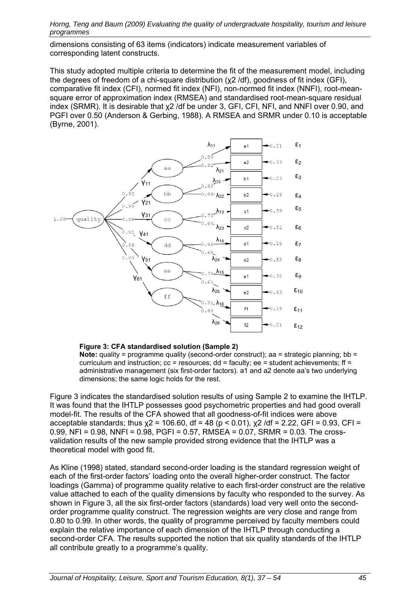dimensions consisting of 63 items (indicators) indicate measurement variables of corresponding latent constructs.

This study adopted multiple criteria to determine the fit of the measurement model, including the degrees of freedom of a chi-square distribution (χ2 /df), goodness of fit index (GFI), comparative fit index (CFI), normed fit index (NFI), non-normed fit index (NNFI), root-meansquare error of approximation index (RMSEA) and standardised root-mean-square residual index (SRMR). It is desirable that χ2 /df be under 3, GFI, CFI, NFI, and NNFI over 0.90, and PGFI over 0.50 (Anderson & Gerbing, 1988). A RMSEA and SRMR under 0.10 is acceptable (Byrne, 2001).



**Figure 3: CFA standardised solution (Sample 2)** 

**Note:** quality = programme quality (second-order construct); aa = strategic planning; bb = curriculum and instruction;  $cc =$  resources; dd = faculty; ee = student achievements; ff = administrative management (six first-order factors). a1 and a2 denote aa's two underlying dimensions; the same logic holds for the rest.

Figure 3 indicates the standardised solution results of using Sample 2 to examine the IHTLP. It was found that the IHTLP possesses good psychometric properties and had good overall model-fit. The results of the CFA showed that all goodness-of-fit indices were above acceptable standards; thus  $x^2 = 106.60$ , df = 48 (p < 0.01),  $x^2$  /df = 2.22, GFI = 0.93, CFI = 0.99, NFI = 0.98, NNFI = 0.98, PGFI = 0.57, RMSEA = 0.07, SRMR = 0.03, The crossvalidation results of the new sample provided strong evidence that the IHTLP was a theoretical model with good fit.

As Kline (1998) stated, standard second-order loading is the standard regression weight of each of the first-order factors' loading onto the overall higher-order construct. The factor loadings (Gamma) of programme quality relative to each first-order construct are the relative value attached to each of the quality dimensions by faculty who responded to the survey. As shown in Figure 3, all the six first-order factors (standards) load very well onto the secondorder programme quality construct. The regression weights are very close and range from 0.80 to 0.99. In other words, the quality of programme perceived by faculty members could explain the relative importance of each dimension of the IHTLP through conducting a second-order CFA. The results supported the notion that six quality standards of the IHTLP all contribute greatly to a programme's quality.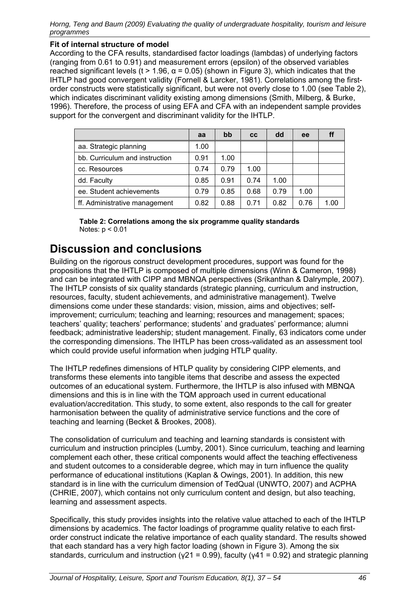#### **Fit of internal structure of model**

According to the CFA results, standardised factor loadings (lambdas) of underlying factors (ranging from 0.61 to 0.91) and measurement errors (epsilon) of the observed variables reached significant levels (t > 1.96,  $\alpha$  = 0.05) (shown in Figure 3), which indicates that the IHTLP had good convergent validity (Fornell & Larcker, 1981). Correlations among the firstorder constructs were statistically significant, but were not overly close to 1.00 (see Table 2), which indicates discriminant validity existing among dimensions (Smith, Milberg, & Burke, 1996). Therefore, the process of using EFA and CFA with an independent sample provides support for the convergent and discriminant validity for the IHTLP.

|                                | aa   | bb   | <b>CC</b> | dd   | ee   |      |
|--------------------------------|------|------|-----------|------|------|------|
| aa. Strategic planning         | 1.00 |      |           |      |      |      |
| bb. Curriculum and instruction | 0.91 | 1.00 |           |      |      |      |
| cc. Resources                  | 0.74 | 0.79 | 1.00      |      |      |      |
| dd. Faculty                    | 0.85 | 0.91 | 0.74      | 1.00 |      |      |
| ee. Student achievements       | 0.79 | 0.85 | 0.68      | 0.79 | 1.00 |      |
| ff. Administrative management  | 0.82 | 0.88 | 0.71      | 0.82 | 0.76 | 1.00 |

**Table 2: Correlations among the six programme quality standards**  Notes: p < 0.01

## **Discussion and conclusions**

Building on the rigorous construct development procedures, support was found for the propositions that the IHTLP is composed of multiple dimensions (Winn & Cameron, 1998) and can be integrated with CIPP and MBNQA perspectives (Srikanthan & Dalrymple, 2007). The IHTLP consists of six quality standards (strategic planning, curriculum and instruction, resources, faculty, student achievements, and administrative management). Twelve dimensions come under these standards: vision, mission, aims and objectives; selfimprovement; curriculum; teaching and learning; resources and management; spaces; teachers' quality; teachers' performance; students' and graduates' performance; alumni feedback; administrative leadership; student management. Finally, 63 indicators come under the corresponding dimensions. The IHTLP has been cross-validated as an assessment tool which could provide useful information when judging HTLP quality.

The IHTLP redefines dimensions of HTLP quality by considering CIPP elements, and transforms these elements into tangible items that describe and assess the expected outcomes of an educational system. Furthermore, the IHTLP is also infused with MBNQA dimensions and this is in line with the TQM approach used in current educational evaluation/accreditation. This study, to some extent, also responds to the call for greater harmonisation between the quality of administrative service functions and the core of teaching and learning (Becket & Brookes, 2008).

The consolidation of curriculum and teaching and learning standards is consistent with curriculum and instruction principles (Lumby, 2001). Since curriculum, teaching and learning complement each other, these critical components would affect the teaching effectiveness and student outcomes to a considerable degree, which may in turn influence the quality performance of educational institutions (Kaplan & Owings, 2001). In addition, this new standard is in line with the curriculum dimension of TedQual (UNWTO, 2007) and ACPHA (CHRIE, 2007), which contains not only curriculum content and design, but also teaching, learning and assessment aspects.

Specifically, this study provides insights into the relative value attached to each of the IHTLP dimensions by academics. The factor loadings of programme quality relative to each firstorder construct indicate the relative importance of each quality standard. The results showed that each standard has a very high factor loading (shown in Figure 3). Among the six standards, curriculum and instruction ( $y21 = 0.99$ ), faculty ( $y41 = 0.92$ ) and strategic planning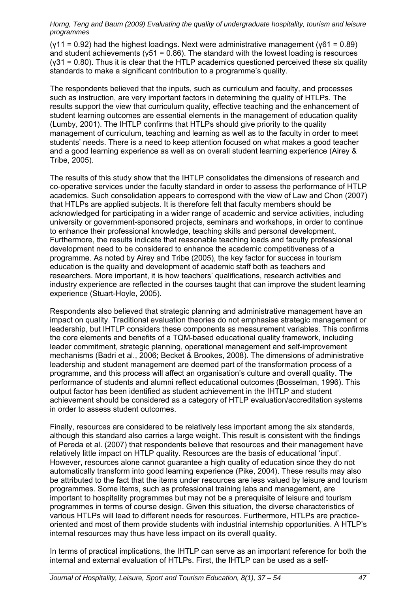$(y11 = 0.92)$  had the highest loadings. Next were administrative management ( $y61 = 0.89$ ) and student achievements ( $y51 = 0.86$ ). The standard with the lowest loading is resources  $(y31 = 0.80)$ . Thus it is clear that the HTLP academics questioned perceived these six quality standards to make a significant contribution to a programme's quality.

The respondents believed that the inputs, such as curriculum and faculty, and processes such as instruction, are very important factors in determining the quality of HTLPs. The results support the view that curriculum quality, effective teaching and the enhancement of student learning outcomes are essential elements in the management of education quality (Lumby, 2001). The IHTLP confirms that HTLPs should give priority to the quality management of curriculum, teaching and learning as well as to the faculty in order to meet students' needs. There is a need to keep attention focused on what makes a good teacher and a good learning experience as well as on overall student learning experience (Airey & Tribe, 2005).

The results of this study show that the IHTLP consolidates the dimensions of research and co-operative services under the faculty standard in order to assess the performance of HTLP academics. Such consolidation appears to correspond with the view of Law and Chon (2007) that HTLPs are applied subjects. It is therefore felt that faculty members should be acknowledged for participating in a wider range of academic and service activities, including university or government-sponsored projects, seminars and workshops, in order to continue to enhance their professional knowledge, teaching skills and personal development. Furthermore, the results indicate that reasonable teaching loads and faculty professional development need to be considered to enhance the academic competitiveness of a programme. As noted by Airey and Tribe (2005), the key factor for success in tourism education is the quality and development of academic staff both as teachers and researchers. More important, it is how teachers' qualifications, research activities and industry experience are reflected in the courses taught that can improve the student learning experience (Stuart-Hoyle, 2005).

Respondents also believed that strategic planning and administrative management have an impact on quality. Traditional evaluation theories do not emphasise strategic management or leadership, but IHTLP considers these components as measurement variables. This confirms the core elements and benefits of a TQM-based educational quality framework, including leader commitment, strategic planning, operational management and self-improvement mechanisms (Badri et al., 2006; Becket & Brookes, 2008). The dimensions of administrative leadership and student management are deemed part of the transformation process of a programme, and this process will affect an organisation's culture and overall quality. The performance of students and alumni reflect educational outcomes (Bosselman, 1996). This output factor has been identified as student achievement in the IHTLP and student achievement should be considered as a category of HTLP evaluation/accreditation systems in order to assess student outcomes.

Finally, resources are considered to be relatively less important among the six standards, although this standard also carries a large weight. This result is consistent with the findings of Pereda et al. (2007) that respondents believe that resources and their management have relatively little impact on HTLP quality. Resources are the basis of educational 'input'. However, resources alone cannot guarantee a high quality of education since they do not automatically transform into good learning experience (Pike, 2004). These results may also be attributed to the fact that the items under resources are less valued by leisure and tourism programmes. Some items, such as professional training labs and management, are important to hospitality programmes but may not be a prerequisite of leisure and tourism programmes in terms of course design. Given this situation, the diverse characteristics of various HTLPs will lead to different needs for resources. Furthermore, HTLPs are practiceoriented and most of them provide students with industrial internship opportunities. A HTLP's internal resources may thus have less impact on its overall quality.

In terms of practical implications, the IHTLP can serve as an important reference for both the internal and external evaluation of HTLPs. First, the IHTLP can be used as a self-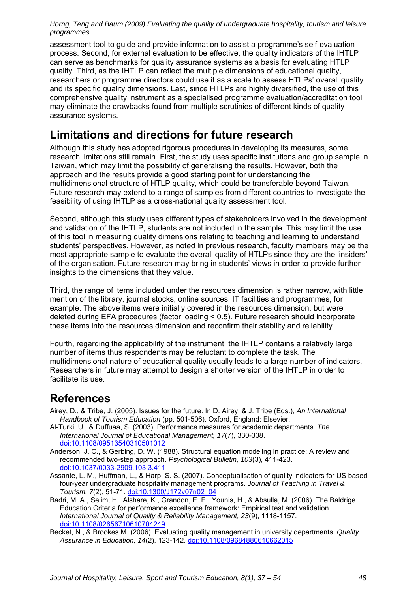assessment tool to guide and provide information to assist a programme's self-evaluation process. Second, for external evaluation to be effective, the quality indicators of the IHTLP can serve as benchmarks for quality assurance systems as a basis for evaluating HTLP quality. Third, as the IHTLP can reflect the multiple dimensions of educational quality, researchers or programme directors could use it as a scale to assess HTLPs' overall quality and its specific quality dimensions. Last, since HTLPs are highly diversified, the use of this comprehensive quality instrument as a specialised programme evaluation/accreditation tool may eliminate the drawbacks found from multiple scrutinies of different kinds of quality assurance systems.

## **Limitations and directions for future research**

Although this study has adopted rigorous procedures in developing its measures, some research limitations still remain. First, the study uses specific institutions and group sample in Taiwan, which may limit the possibility of generalising the results. However, both the approach and the results provide a good starting point for understanding the multidimensional structure of HTLP quality, which could be transferable beyond Taiwan. Future research may extend to a range of samples from different countries to investigate the feasibility of using IHTLP as a cross-national quality assessment tool.

Second, although this study uses different types of stakeholders involved in the development and validation of the IHTLP, students are not included in the sample. This may limit the use of this tool in measuring quality dimensions relating to teaching and learning to understand students' perspectives. However, as noted in previous research, faculty members may be the most appropriate sample to evaluate the overall quality of HTLPs since they are the 'insiders' of the organisation. Future research may bring in students' views in order to provide further insights to the dimensions that they value.

Third, the range of items included under the resources dimension is rather narrow, with little mention of the library, journal stocks, online sources, IT facilities and programmes, for example. The above items were initially covered in the resources dimension, but were deleted during EFA procedures (factor loading < 0.5). Future research should incorporate these items into the resources dimension and reconfirm their stability and reliability.

Fourth, regarding the applicability of the instrument, the IHTLP contains a relatively large number of items thus respondents may be reluctant to complete the task. The multidimensional nature of educational quality usually leads to a large number of indicators. Researchers in future may attempt to design a shorter version of the IHTLP in order to facilitate its use.

# **References**

- Airey, D., & Tribe, J. (2005). Issues for the future. In D. Airey, & J. Tribe (Eds.), *An International Handbook of Tourism Education* (pp. 501-506). Oxford, England: Elsevier.
- Al-Turki, U., & Duffuaa, S. (2003). Performance measures for academic departments. *The International Journal of Educational Management, 17*(7), 330-338. doi:10.1108/09513540310501012
- Anderson, J. C., & Gerbing, D. W. (1988). Structural equation modeling in practice: A review and recommended two-step approach. *Psychological Bulletin, 103*(3), 411-423. doi:10.1037/0033-2909.103.3.411
- Assante, L. M., Huffman, L., & Harp, S. S. (2007). Conceptualisation of quality indicators for US based four-year undergraduate hospitality management programs. *Journal of Teaching in Travel & Tourism, 7*(2), 51-71. doi:10.1300/J172v07n02\_04
- Badri, M. A., Selim, H., Alshare, K., Grandon, E. E., Younis, H., & Absulla, M. (2006). The Baldrige Education Criteria for performance excellence framework: Empirical test and validation. *International Journal of Quality & Reliability Management, 23*(9), 1118-1157. doi:10.1108/02656710610704249
- Becket, N., & Brookes M. (2006). Evaluating quality management in university departments. *Quality Assurance in Education, 14*(2), 123-142. doi:10.1108/09684880610662015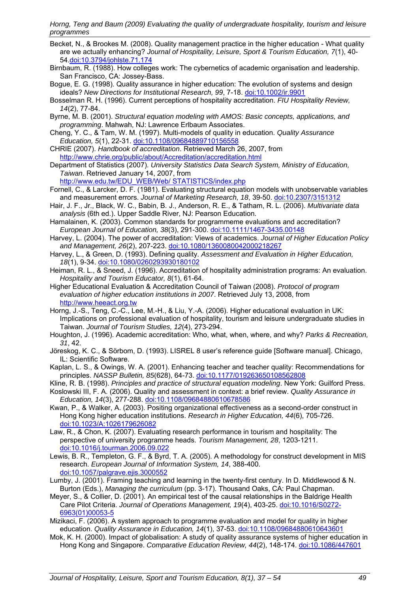- Becket, N., & Brookes M. (2008). Quality management practice in the higher education What quality are we actually enhancing? *Journal of Hospitality, Leisure, Sport & Tourism Education, 7*(1), 40- 54.doi:10.3794/johlste.71.174
- Birnbaum, R. (1988). How colleges work: The cybernetics of academic organisation and leadership. San Francisco, CA: Jossey-Bass.
- Bogue, E. G. (1998). Quality assurance in higher education: The evolution of systems and design ideals? *New Directions for Institutional Research, 99*, 7-18. doi:10.1002/ir.9901
- Bosselman R. H. (1996). Current perceptions of hospitality accreditation. *FIU Hospitality Review, 14*(2), 77-84.
- Byrne, M. B. (2001). *Structural equation modeling with AMOS: Basic concepts, applications, and programming*. Mahwah, NJ: Lawrence Erlbaum Associates.
- Cheng, Y. C., & Tam, W. M. (1997). Multi-models of quality in education. *Quality Assurance Education, 5*(1), 22-31. doi:10.1108/09684889710156558
- CHRIE (2007). *Handbook of accreditation*. Retrieved March 26, 2007, from http://www.chrie.org/public/about/Accreditation/accreditation.html

Department of Statistics (2007). *University Statistics Data Search System, Ministry of Education, Taiwan*. Retrieved January 14, 2007, from

http://www.edu.tw/EDU\_WEB/Web/ STATISTICS/index.php

- Fornell, C., & Larcker, D. F. (1981). Evaluating structural equation models with unobservable variables and measurement errors. *Journal of Marketing Research, 18*, 39-50. doi:10.2307/3151312
- Hair, J. F., Jr., Black, W. C., Babin, B. J., Anderson, R. E., & Tatham, R. L. (2006). *Multivariate data analysis* (6th ed.). Upper Saddle River, NJ: Pearson Education.
- Hamalainen, K. (2003). Common standards for programmeme evaluations and accreditation? *European Journal of Education, 38*(3), 291-300. doi:10.1111/1467-3435.00148
- Harvey, L. (2004). The power of accreditation: Views of academics. *Journal of Higher Education Policy and Management, 26*(2), 207-223. doi:10.1080/1360080042000218267
- Harvey, L., & Green, D. (1993). Defining quality. *Assessment and Evaluation in Higher Education, 18*(1), 9-34. doi:10.1080/0260293930180102
- Heiman, R. L., & Sneed, J. (1996). Accreditation of hospitality administration programs: An evaluation. *Hospitality and Tourism Educator, 8*(1), 61-64.
- Higher Educational Evaluation & Accreditation Council of Taiwan (2008). *Protocol of program evaluation of higher education institutions in 2007*. Retrieved July 13, 2008, from http://www.heeact.org.tw
- Horng, J.-S., Teng, C.-C., Lee, M.-H., & Liu, Y.-A. (2006). Higher educational evaluation in UK: Implications on professional evaluation of hospitality, tourism and leisure undergraduate studies in Taiwan. *Journal of Tourism Studies, 12*(4), 273-294.
- Houghton, J. (1996). Academic accreditation: Who, what, when, where, and why? *Parks & Recreation, 31*, 42.
- Jöreskog, K. C., & Sörbom, D. (1993). LISREL 8 user's reference guide [Software manual]. Chicago, IL: Scientific Software.
- Kaplan, L. S., & Owings, W. A. (2001). Enhancing teacher and teacher quality: Recommendations for principles. *NASSP Bulletin, 85*(628), 64-73. doi:10.1177/019263650108562808

Kline, R. B. (1998). *Principles and practice of structural equation modeling*. New York: Guilford Press.

- Koslowski III, F. A. (2006). Quality and assessment in context: a brief review. *Quality Assurance in Education, 14*(3), 277-288. doi:10.1108/09684880610678586
- Kwan, P., & Walker, A. (2003). Positing organizational effectiveness as a second-order construct in Hong Kong higher education institutions. *Research in Higher Education, 44*(6), 705-726. doi:10.1023/A:1026179626082
- Law, R., & Chon, K. (2007). Evaluating research performance in tourism and hospitality: The perspective of university programme heads. *Tourism Management, 28*, 1203-1211. doi:10.1016/j.tourman.2006.09.022
- Lewis, B. R., Templeton, G. F., & Byrd, T. A. (2005). A methodology for construct development in MIS research. *European Journal of Information System, 14*, 388-400. doi:10.1057/palgrave.ejis.3000552
- Lumby, J. (2001). Framing teaching and learning in the twenty-first century. In D. Middlewood & N. Burton (Eds.), *Managing the curriculum* (pp. 3-17). Thousand Oaks, CA: Paul Chapman.
- Meyer, S., & Collier, D. (2001). An empirical test of the causal relationships in the Baldrige Health Care Pilot Criteria. *Journal of Operations Management, 19*(4), 403-25. doi:10.1016/S0272- 6963(01)00053-5
- Mizikaci, F. (2006). A system approach to programme evaluation and model for quality in higher education. *Quality Assurance in Education, 14*(1), 37-53. doi:10.1108/09684880610643601
- Mok, K. H. (2000). Impact of globalisation: A study of quality assurance systems of higher education in Hong Kong and Singapore. *Comparative Education Review, 44*(2), 148-174. doi:10.1086/447601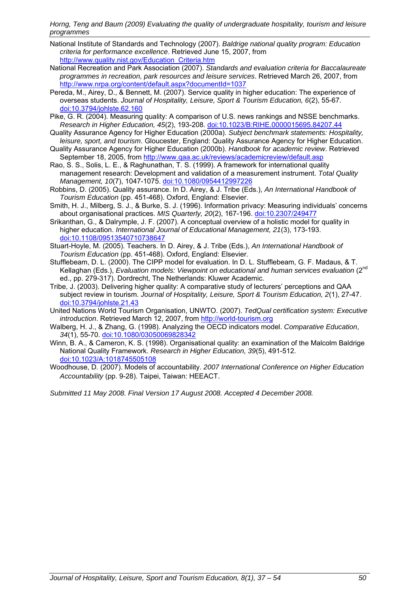- National Institute of Standards and Technology (2007). *Baldrige national quality program: Education criteria for performance excellence*. Retrieved June 15, 2007, from http://www.quality.nist.gov/Education\_Criteria.htm
- National Recreation and Park Association (2007). *Standards and evaluation criteria for Baccalaureate programmes in recreation, park resources and leisure services*. Retrieved March 26, 2007, from http://www.nrpa.org/content/default.aspx?documentId=1037
- Pereda, M., Airey, D., & Bennett, M. (2007). Service quality in higher education: The experience of overseas students. *Journal of Hospitality, Leisure, Sport & Tourism Education, 6*(2), 55-67. doi:10.3794/johlste.62.160
- Pike, G. R. (2004). Measuring quality: A comparison of U.S. news rankings and NSSE benchmarks. *Research in Higher Education, 45*(2), 193-208. doi:10.1023/B:RIHE.0000015695.84207.44
- Quality Assurance Agency for Higher Education (2000a). *Subject benchmark statements: Hospitality, leisure, sport, and tourism*. Gloucester, England: Quality Assurance Agency for Higher Education. Quality Assurance Agency for Higher Education (2000b). *Handbook for academic review*. Retrieved
- September 18, 2005, from http://www.qaa.ac.uk/reviews/academicreview/default.asp
- Rao, S. S., Solis, L. E., & Raghunathan, T. S. (1999). A framework for international quality management research: Development and validation of a measurement instrument. *Total Quality Management, 10*(7), 1047-1075. doi:10.1080/0954412997226
- Robbins, D. (2005). Quality assurance. In D. Airey, & J. Tribe (Eds.), *An International Handbook of Tourism Education* (pp. 451-468). Oxford, England: Elsevier.
- Smith, H. J., Milberg, S. J., & Burke, S. J. (1996). Information privacy: Measuring individuals' concerns about organisational practices. *MIS Quarterly, 20*(2), 167-196. doi:10.2307/249477
- Srikanthan, G., & Dalrymple, J. F. (2007). A conceptual overview of a holistic model for quality in higher education. *International Journal of Educational Management, 21*(3), 173-193. doi:10.1108/09513540710738647
- Stuart-Hoyle, M. (2005). Teachers. In D. Airey, & J. Tribe (Eds.), *An International Handbook of Tourism Education* (pp. 451-468). Oxford, England: Elsevier.
- Stufflebeam, D. L. (2000). The CIPP model for evaluation. In D. L. Stufflebeam, G. F. Madaus, & T. Kellaghan (Eds.), *Evaluation models: Viewpoint on educational and human services evaluation* (2<sup>nd</sup> ed., pp. 279-317). Dordrecht, The Netherlands: Kluwer Academic.
- Tribe, J. (2003). Delivering higher quality: A comparative study of lecturers' perceptions and QAA subject review in tourism. *Journal of Hospitality, Leisure, Sport & Tourism Education, 2*(1), 27-47. doi:10.3794/johlste.21.43
- United Nations World Tourism Organisation, UNWTO. (2007). *TedQual certification system: Executive introduction*. Retrieved March 12, 2007, from http://world-tourism.org
- Walberg, H. J., & Zhang, G. (1998). Analyzing the OECD indicators model. *Comparative Education*, *34*(1), 55-70. doi:10.1080/03050069828342
- Winn, B. A., & Cameron, K. S. (1998). Organisational quality: an examination of the Malcolm Baldrige National Quality Framework. *Research in Higher Education, 39*(5), 491-512. doi:10.1023/A:1018745505108
- Woodhouse, D. (2007). Models of accountability. *2007 International Conference on Higher Education Accountability* (pp. 9-28). Taipei, Taiwan: HEEACT.

*Submitted 11 May 2008. Final Version 17 August 2008. Accepted 4 December 2008.*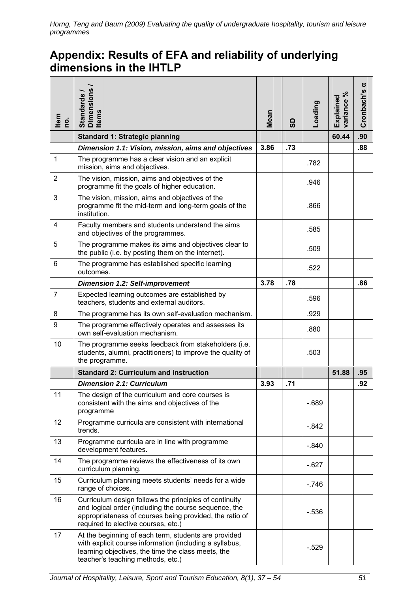# **Appendix: Results of EFA and reliability of underlying dimensions in the IHTLP**

| Item<br>ρġ.    | <b>Dimensions</b><br>Standards<br><b>Items</b>                                                                                                                                                                    | Mean | င္ဟ | Loading | వి<br>Explained<br>variance | ರ<br>Cronbach's |
|----------------|-------------------------------------------------------------------------------------------------------------------------------------------------------------------------------------------------------------------|------|-----|---------|-----------------------------|-----------------|
|                | <b>Standard 1: Strategic planning</b>                                                                                                                                                                             |      |     |         | 60.44                       | .90             |
|                | Dimension 1.1: Vision, mission, aims and objectives                                                                                                                                                               | 3.86 | .73 |         |                             | .88             |
| 1              | The programme has a clear vision and an explicit<br>mission, aims and objectives.                                                                                                                                 |      |     | .782    |                             |                 |
| $\overline{2}$ | The vision, mission, aims and objectives of the<br>programme fit the goals of higher education.                                                                                                                   |      |     | .946    |                             |                 |
| 3              | The vision, mission, aims and objectives of the<br>programme fit the mid-term and long-term goals of the<br>institution.                                                                                          |      |     | .866    |                             |                 |
| $\overline{4}$ | Faculty members and students understand the aims<br>and objectives of the programmes.                                                                                                                             |      |     | .585    |                             |                 |
| 5              | The programme makes its aims and objectives clear to<br>the public (i.e. by posting them on the internet).                                                                                                        |      |     | .509    |                             |                 |
| 6              | The programme has established specific learning<br>outcomes.                                                                                                                                                      |      |     | .522    |                             |                 |
|                | <b>Dimension 1.2: Self-improvement</b>                                                                                                                                                                            | 3.78 | .78 |         |                             | .86             |
| $\overline{7}$ | Expected learning outcomes are established by<br>teachers, students and external auditors.                                                                                                                        |      |     | .596    |                             |                 |
| 8              | The programme has its own self-evaluation mechanism.                                                                                                                                                              |      |     | .929    |                             |                 |
| 9              | The programme effectively operates and assesses its<br>own self-evaluation mechanism.                                                                                                                             |      |     | .880    |                             |                 |
| 10             | The programme seeks feedback from stakeholders (i.e.<br>students, alumni, practitioners) to improve the quality of<br>the programme.                                                                              |      |     | .503    |                             |                 |
|                | <b>Standard 2: Curriculum and instruction</b>                                                                                                                                                                     |      |     |         | 51.88                       | .95             |
|                | <b>Dimension 2.1: Curriculum</b>                                                                                                                                                                                  | 3.93 | .71 |         |                             | .92             |
| 11             | The design of the curriculum and core courses is<br>consistent with the aims and objectives of the<br>programme                                                                                                   |      |     | $-689$  |                             |                 |
| 12             | Programme curricula are consistent with international<br>trends.                                                                                                                                                  |      |     | $-.842$ |                             |                 |
| 13             | Programme curricula are in line with programme<br>development features.                                                                                                                                           |      |     | $-.840$ |                             |                 |
| 14             | The programme reviews the effectiveness of its own<br>curriculum planning.                                                                                                                                        |      |     | $-627$  |                             |                 |
| 15             | Curriculum planning meets students' needs for a wide<br>range of choices.                                                                                                                                         |      |     | $-.746$ |                             |                 |
| 16             | Curriculum design follows the principles of continuity<br>and logical order (including the course sequence, the<br>appropriateness of courses being provided, the ratio of<br>required to elective courses, etc.) |      |     | $-536$  |                             |                 |
| 17             | At the beginning of each term, students are provided<br>with explicit course information (including a syllabus,<br>learning objectives, the time the class meets, the<br>teacher's teaching methods, etc.)        |      |     | $-.529$ |                             |                 |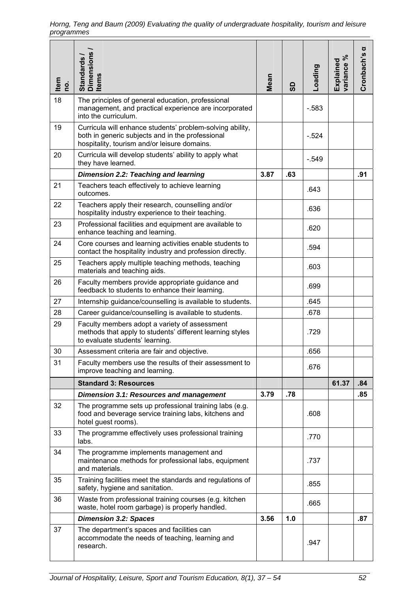| $\frac{1}{2}$ | Standards /<br>Dimensions /<br>Items                                                                                                                          | Mean | ဥ္တ | Loading | variance %<br>Explained | ರ<br>Cronbach's |
|---------------|---------------------------------------------------------------------------------------------------------------------------------------------------------------|------|-----|---------|-------------------------|-----------------|
| 18            | The principles of general education, professional<br>management, and practical experience are incorporated<br>into the curriculum.                            |      |     | $-583$  |                         |                 |
| 19            | Curricula will enhance students' problem-solving ability,<br>both in generic subjects and in the professional<br>hospitality, tourism and/or leisure domains. |      |     | $-524$  |                         |                 |
| 20            | Curricula will develop students' ability to apply what<br>they have learned.                                                                                  |      |     | $-.549$ |                         |                 |
|               | Dimension 2.2: Teaching and learning                                                                                                                          | 3.87 | .63 |         |                         | .91             |
| 21            | Teachers teach effectively to achieve learning<br>outcomes.                                                                                                   |      |     | .643    |                         |                 |
| 22            | Teachers apply their research, counselling and/or<br>hospitality industry experience to their teaching.                                                       |      |     | .636    |                         |                 |
| 23            | Professional facilities and equipment are available to<br>enhance teaching and learning.                                                                      |      |     | .620    |                         |                 |
| 24            | Core courses and learning activities enable students to<br>contact the hospitality industry and profession directly.                                          |      |     | .594    |                         |                 |
| 25            | Teachers apply multiple teaching methods, teaching<br>materials and teaching aids.                                                                            |      |     | .603    |                         |                 |
| 26            | Faculty members provide appropriate guidance and<br>feedback to students to enhance their learning.                                                           |      |     | .699    |                         |                 |
| 27            | Internship guidance/counselling is available to students.                                                                                                     |      |     | .645    |                         |                 |
| 28            | Career guidance/counselling is available to students.                                                                                                         |      |     | .678    |                         |                 |
| 29            | Faculty members adopt a variety of assessment<br>methods that apply to students' different learning styles<br>to evaluate students' learning.                 |      |     | .729    |                         |                 |
| 30            | Assessment criteria are fair and objective.                                                                                                                   |      |     | .656    |                         |                 |
| 31            | Faculty members use the results of their assessment to<br>improve teaching and learning.                                                                      |      |     | .676    |                         |                 |
|               | <b>Standard 3: Resources</b>                                                                                                                                  |      |     |         | 61.37                   | .84             |
|               | Dimension 3.1: Resources and management                                                                                                                       | 3.79 | .78 |         |                         | .85             |
| 32            | The programme sets up professional training labs (e.g.<br>food and beverage service training labs, kitchens and<br>hotel guest rooms).                        |      |     | .608    |                         |                 |
| 33            | The programme effectively uses professional training<br>labs.                                                                                                 |      |     | .770    |                         |                 |
| 34            | The programme implements management and<br>maintenance methods for professional labs, equipment<br>and materials.                                             |      |     | .737    |                         |                 |
| 35            | Training facilities meet the standards and regulations of<br>safety, hygiene and sanitation.                                                                  |      |     | .855    |                         |                 |
| 36            | Waste from professional training courses (e.g. kitchen<br>waste, hotel room garbage) is properly handled.                                                     |      |     | .665    |                         |                 |
|               | <b>Dimension 3.2: Spaces</b>                                                                                                                                  | 3.56 | 1.0 |         |                         | .87             |
| 37            | The department's spaces and facilities can<br>accommodate the needs of teaching, learning and<br>research.                                                    |      |     | .947    |                         |                 |
|               | Journal of Hospitality, Leisure, Sport and Tourism Education, 8(1), 37 - 54                                                                                   |      |     |         |                         | 52              |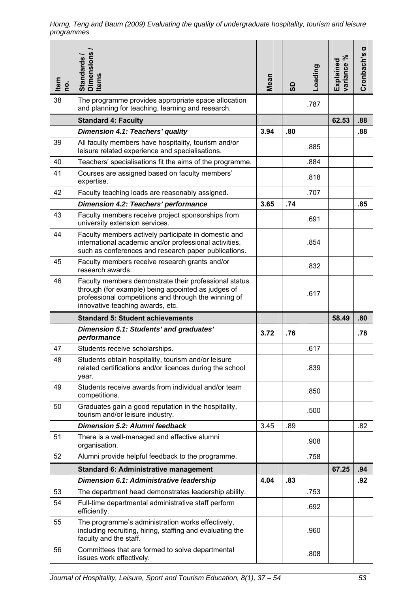| Item<br>o, | Dimensions /<br>Items<br>Standards                                                                                                                                                                      | Mean | ဓ္တ | Loading | ಸಿ<br>Explained<br>variance | ರ<br>Cronbach's |
|------------|---------------------------------------------------------------------------------------------------------------------------------------------------------------------------------------------------------|------|-----|---------|-----------------------------|-----------------|
| 38         | The programme provides appropriate space allocation<br>and planning for teaching, learning and research.                                                                                                |      |     | .787    |                             |                 |
|            | <b>Standard 4: Faculty</b>                                                                                                                                                                              |      |     |         | 62.53                       | .88             |
|            | Dimension 4.1: Teachers' quality                                                                                                                                                                        | 3.94 | .80 |         |                             | .88             |
| 39         | All faculty members have hospitality, tourism and/or<br>leisure related experience and specialisations.                                                                                                 |      |     | .885    |                             |                 |
| 40         | Teachers' specialisations fit the aims of the programme.                                                                                                                                                |      |     | .884    |                             |                 |
| 41         | Courses are assigned based on faculty members'<br>expertise.                                                                                                                                            |      |     | .818    |                             |                 |
| 42         | Faculty teaching loads are reasonably assigned.                                                                                                                                                         |      |     | .707    |                             |                 |
|            | <b>Dimension 4.2: Teachers' performance</b>                                                                                                                                                             | 3.65 | .74 |         |                             | .85             |
| 43         | Faculty members receive project sponsorships from<br>university extension services.                                                                                                                     |      |     | .691    |                             |                 |
| 44         | Faculty members actively participate in domestic and<br>international academic and/or professional activities,<br>such as conferences and research paper publications.                                  |      |     | .854    |                             |                 |
| 45         | Faculty members receive research grants and/or<br>research awards.                                                                                                                                      |      |     | .832    |                             |                 |
| 46         | Faculty members demonstrate their professional status<br>through (for example) being appointed as judges of<br>professional competitions and through the winning of<br>innovative teaching awards, etc. |      |     | .617    |                             |                 |
|            |                                                                                                                                                                                                         |      |     |         |                             |                 |
|            | <b>Standard 5: Student achievements</b>                                                                                                                                                                 |      |     |         | 58.49                       | .80             |
|            | Dimension 5.1: Students' and graduates'<br>performance                                                                                                                                                  | 3.72 | .76 |         |                             | .78             |
| 47         | Students receive scholarships.                                                                                                                                                                          |      |     | .617    |                             |                 |
| 48         | Students obtain hospitality, tourism and/or leisure<br>related certifications and/or licences during the school<br>year.                                                                                |      |     | .839    |                             |                 |
| 49         | Students receive awards from individual and/or team<br>competitions.                                                                                                                                    |      |     | .850    |                             |                 |
| 50         | Graduates gain a good reputation in the hospitality,<br>tourism and/or leisure industry.                                                                                                                |      |     | .500    |                             |                 |
|            | Dimension 5.2: Alumni feedback                                                                                                                                                                          | 3.45 | .89 |         |                             | .82             |
| 51         | There is a well-managed and effective alumni<br>organisation.                                                                                                                                           |      |     | .908    |                             |                 |
| 52         | Alumni provide helpful feedback to the programme.                                                                                                                                                       |      |     | .758    |                             |                 |
|            | <b>Standard 6: Administrative management</b>                                                                                                                                                            |      |     |         | 67.25                       | .94             |
|            | Dimension 6.1: Administrative leadership                                                                                                                                                                | 4.04 | .83 |         |                             | .92             |
| 53         | The department head demonstrates leadership ability.                                                                                                                                                    |      |     | .753    |                             |                 |
| 54         | Full-time departmental administrative staff perform<br>efficiently.                                                                                                                                     |      |     | .692    |                             |                 |
| 55         | The programme's administration works effectively,<br>including recruiting, hiring, staffing and evaluating the<br>faculty and the staff.                                                                |      |     | .960    |                             |                 |
| 56         | Committees that are formed to solve departmental<br>issues work effectively.                                                                                                                            |      |     | .808    |                             |                 |

*Horng, Teng and Baum (2009) Evaluating the quality of undergraduate hospitality, tourism and leisure programmes*